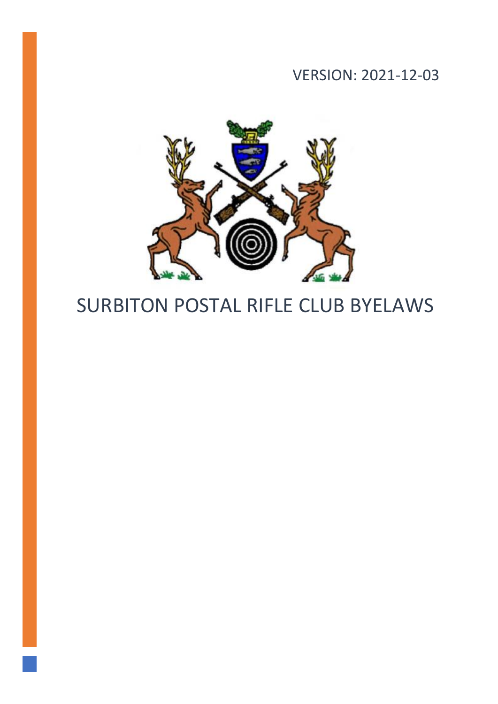# VERSION: 2021-12-03



# SURBITON POSTAL RIFLE CLUB BYELAWS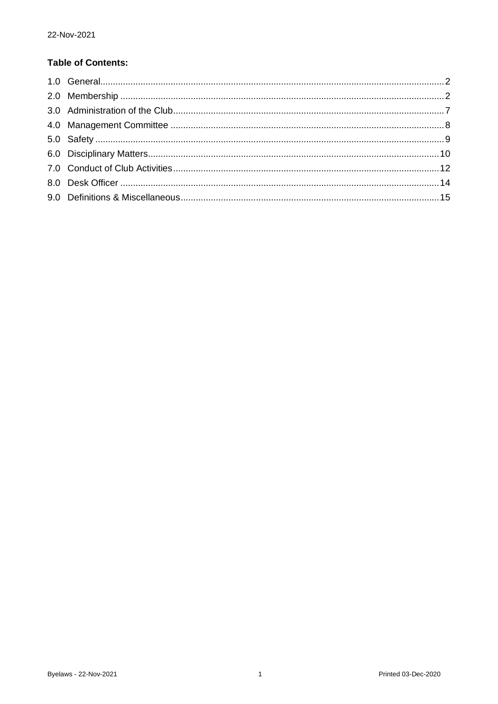# **Table of Contents:**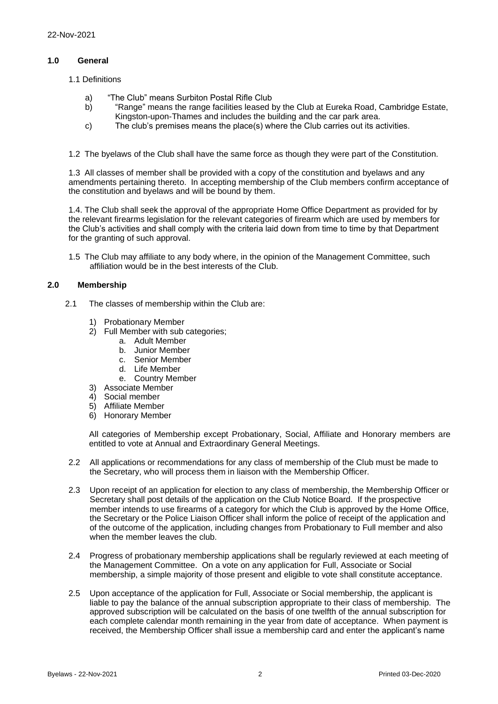#### <span id="page-2-0"></span>**1.0 General**

- 1.1 Definitions
	- a) "The Club" means Surbiton Postal Rifle Club
	- b) "Range" means the range facilities leased by the Club at Eureka Road, Cambridge Estate, Kingston-upon-Thames and includes the building and the car park area.
	- c) The club's premises means the place(s) where the Club carries out its activities.
- 1.2 The byelaws of the Club shall have the same force as though they were part of the Constitution.

1.3 All classes of member shall be provided with a copy of the constitution and byelaws and any amendments pertaining thereto. In accepting membership of the Club members confirm acceptance of the constitution and byelaws and will be bound by them.

1.4. The Club shall seek the approval of the appropriate Home Office Department as provided for by the relevant firearms legislation for the relevant categories of firearm which are used by members for the Club's activities and shall comply with the criteria laid down from time to time by that Department for the granting of such approval.

1.5 The Club may affiliate to any body where, in the opinion of the Management Committee, such affiliation would be in the best interests of the Club.

#### <span id="page-2-1"></span>**2.0 Membership**

- 2.1 The classes of membership within the Club are:
	- 1) Probationary Member
	- 2) Full Member with sub categories;
		- a. Adult Member
		- b. Junior Member
		- c. Senior Member
		- d. Life Member
		- e. Country Member
	- 3) Associate Member
	- 4) Social member
	- 5) Affiliate Member
	- 6) Honorary Member

All categories of Membership except Probationary, Social, Affiliate and Honorary members are entitled to vote at Annual and Extraordinary General Meetings.

- 2.2 All applications or recommendations for any class of membership of the Club must be made to the Secretary, who will process them in liaison with the Membership Officer.
- 2.3 Upon receipt of an application for election to any class of membership, the Membership Officer or Secretary shall post details of the application on the Club Notice Board. If the prospective member intends to use firearms of a category for which the Club is approved by the Home Office, the Secretary or the Police Liaison Officer shall inform the police of receipt of the application and of the outcome of the application, including changes from Probationary to Full member and also when the member leaves the club.
- 2.4 Progress of probationary membership applications shall be regularly reviewed at each meeting of the Management Committee. On a vote on any application for Full, Associate or Social membership, a simple majority of those present and eligible to vote shall constitute acceptance.
- 2.5 Upon acceptance of the application for Full, Associate or Social membership, the applicant is liable to pay the balance of the annual subscription appropriate to their class of membership. The approved subscription will be calculated on the basis of one twelfth of the annual subscription for each complete calendar month remaining in the year from date of acceptance. When payment is received, the Membership Officer shall issue a membership card and enter the applicant's name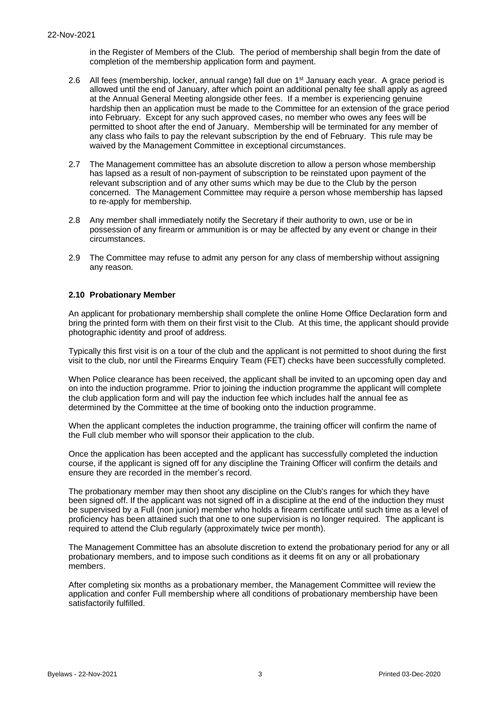in the Register of Members of the Club. The period of membership shall begin from the date of completion of the membership application form and payment.

- 2.6 All fees (membership, locker, annual range) fall due on 1<sup>st</sup> January each year. A grace period is allowed until the end of January, after which point an additional penalty fee shall apply as agreed at the Annual General Meeting alongside other fees. If a member is experiencing genuine hardship then an application must be made to the Committee for an extension of the grace period into February. Except for any such approved cases, no member who owes any fees will be permitted to shoot after the end of January. Membership will be terminated for any member of any class who fails to pay the relevant subscription by the end of February. This rule may be waived by the Management Committee in exceptional circumstances.
- 2.7 The Management committee has an absolute discretion to allow a person whose membership has lapsed as a result of non-payment of subscription to be reinstated upon payment of the relevant subscription and of any other sums which may be due to the Club by the person concerned. The Management Committee may require a person whose membership has lapsed to re-apply for membership.
- 2.8 Any member shall immediately notify the Secretary if their authority to own, use or be in possession of any firearm or ammunition is or may be affected by any event or change in their circumstances.
- 2.9 The Committee may refuse to admit any person for any class of membership without assigning any reason.

#### **2.10 Probationary Member**

An applicant for probationary membership shall complete the online Home Office Declaration form and bring the printed form with them on their first visit to the Club. At this time, the applicant should provide photographic identity and proof of address.

Typically this first visit is on a tour of the club and the applicant is not permitted to shoot during the first visit to the club, nor until the Firearms Enquiry Team (FET) checks have been successfully completed.

When Police clearance has been received, the applicant shall be invited to an upcoming open day and on into the induction programme. Prior to joining the induction programme the applicant will complete the club application form and will pay the induction fee which includes half the annual fee as determined by the Committee at the time of booking onto the induction programme.

When the applicant completes the induction programme, the training officer will confirm the name of the Full club member who will sponsor their application to the club.

Once the application has been accepted and the applicant has successfully completed the induction course, if the applicant is signed off for any discipline the Training Officer will confirm the details and ensure they are recorded in the member's record.

The probationary member may then shoot any discipline on the Club's ranges for which they have been signed off. If the applicant was not signed off in a discipline at the end of the induction they must be supervised by a Full (non junior) member who holds a firearm certificate until such time as a level of proficiency has been attained such that one to one supervision is no longer required. The applicant is required to attend the Club regularly (approximately twice per month).

The Management Committee has an absolute discretion to extend the probationary period for any or all probationary members, and to impose such conditions as it deems fit on any or all probationary members.

After completing six months as a probationary member, the Management Committee will review the application and confer Full membership where all conditions of probationary membership have been satisfactorily fulfilled.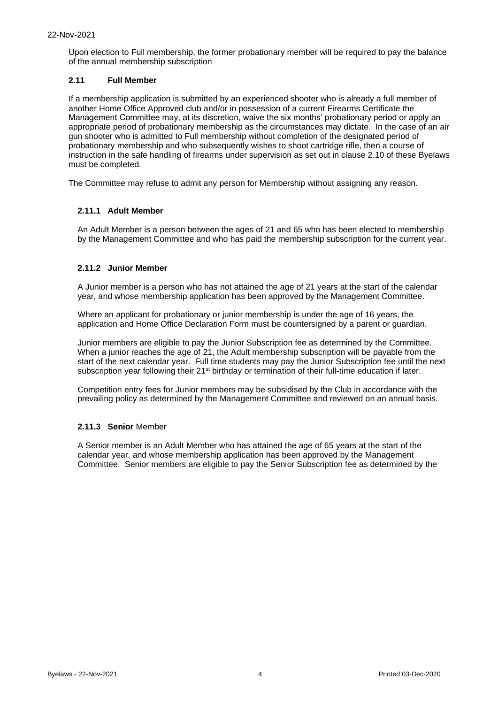Upon election to Full membership, the former probationary member will be required to pay the balance of the annual membership subscription

#### **2.11 Full Member**

If a membership application is submitted by an experienced shooter who is already a full member of another Home Office Approved club and/or in possession of a current Firearms Certificate the Management Committee may, at its discretion, waive the six months' probationary period or apply an appropriate period of probationary membership as the circumstances may dictate. In the case of an air gun shooter who is admitted to Full membership without completion of the designated period of probationary membership and who subsequently wishes to shoot cartridge rifle, then a course of instruction in the safe handling of firearms under supervision as set out in clause 2.10 of these Byelaws must be completed*.*

The Committee may refuse to admit any person for Membership without assigning any reason.

#### **2.11.1 Adult Member**

An Adult Member is a person between the ages of 21 and 65 who has been elected to membership by the Management Committee and who has paid the membership subscription for the current year.

#### **2.11.2 Junior Member**

A Junior member is a person who has not attained the age of 21 years at the start of the calendar year, and whose membership application has been approved by the Management Committee.

Where an applicant for probationary or junior membership is under the age of 16 years, the application and Home Office Declaration Form must be countersigned by a parent or guardian.

Junior members are eligible to pay the Junior Subscription fee as determined by the Committee. When a junior reaches the age of 21, the Adult membership subscription will be payable from the start of the next calendar year. Full time students may pay the Junior Subscription fee until the next subscription year following their 21<sup>st</sup> birthday or termination of their full-time education if later.

Competition entry fees for Junior members may be subsidised by the Club in accordance with the prevailing policy as determined by the Management Committee and reviewed on an annual basis.

#### **2.11.3 Senior** Member

A Senior member is an Adult Member who has attained the age of 65 years at the start of the calendar year, and whose membership application has been approved by the Management Committee. Senior members are eligible to pay the Senior Subscription fee as determined by the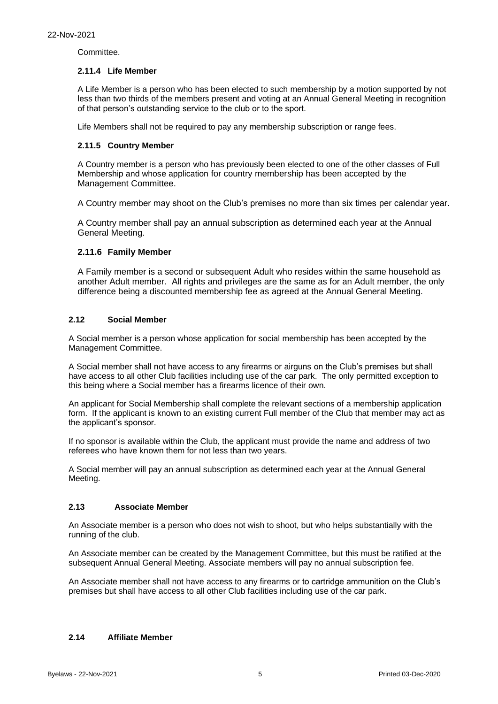Committee.

#### **2.11.4 Life Member**

A Life Member is a person who has been elected to such membership by a motion supported by not less than two thirds of the members present and voting at an Annual General Meeting in recognition of that person's outstanding service to the club or to the sport.

Life Members shall not be required to pay any membership subscription or range fees.

#### **2.11.5 Country Member**

A Country member is a person who has previously been elected to one of the other classes of Full Membership and whose application for country membership has been accepted by the Management Committee.

A Country member may shoot on the Club's premises no more than six times per calendar year.

A Country member shall pay an annual subscription as determined each year at the Annual General Meeting.

#### **2.11.6 Family Member**

A Family member is a second or subsequent Adult who resides within the same household as another Adult member. All rights and privileges are the same as for an Adult member, the only difference being a discounted membership fee as agreed at the Annual General Meeting.

#### **2.12 Social Member**

A Social member is a person whose application for social membership has been accepted by the Management Committee.

A Social member shall not have access to any firearms or airguns on the Club's premises but shall have access to all other Club facilities including use of the car park. The only permitted exception to this being where a Social member has a firearms licence of their own.

An applicant for Social Membership shall complete the relevant sections of a membership application form. If the applicant is known to an existing current Full member of the Club that member may act as the applicant's sponsor.

If no sponsor is available within the Club, the applicant must provide the name and address of two referees who have known them for not less than two years.

A Social member will pay an annual subscription as determined each year at the Annual General Meeting.

#### **2.13 Associate Member**

An Associate member is a person who does not wish to shoot, but who helps substantially with the running of the club.

An Associate member can be created by the Management Committee, but this must be ratified at the subsequent Annual General Meeting. Associate members will pay no annual subscription fee.

An Associate member shall not have access to any firearms or to cartridge ammunition on the Club's premises but shall have access to all other Club facilities including use of the car park.

#### **2.14 Affiliate Member**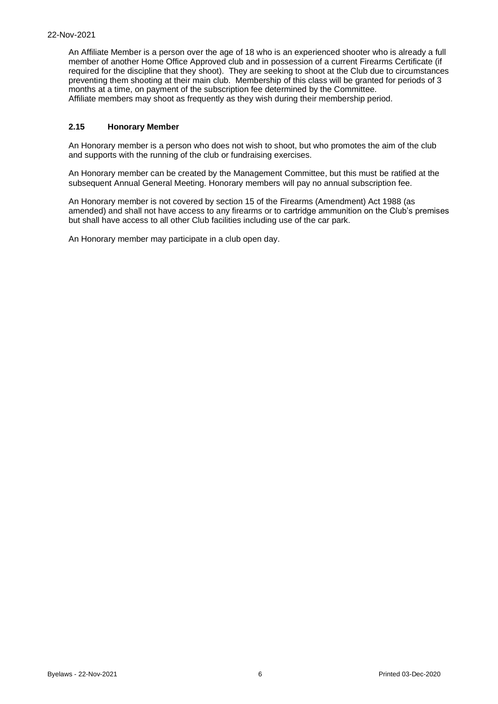An Affiliate Member is a person over the age of 18 who is an experienced shooter who is already a full member of another Home Office Approved club and in possession of a current Firearms Certificate (if required for the discipline that they shoot). They are seeking to shoot at the Club due to circumstances preventing them shooting at their main club. Membership of this class will be granted for periods of 3 months at a time, on payment of the subscription fee determined by the Committee. Affiliate members may shoot as frequently as they wish during their membership period.

#### **2.15 Honorary Member**

An Honorary member is a person who does not wish to shoot, but who promotes the aim of the club and supports with the running of the club or fundraising exercises.

An Honorary member can be created by the Management Committee, but this must be ratified at the subsequent Annual General Meeting. Honorary members will pay no annual subscription fee.

An Honorary member is not covered by section 15 of the Firearms (Amendment) Act 1988 (as amended) and shall not have access to any firearms or to cartridge ammunition on the Club's premises but shall have access to all other Club facilities including use of the car park.

An Honorary member may participate in a club open day.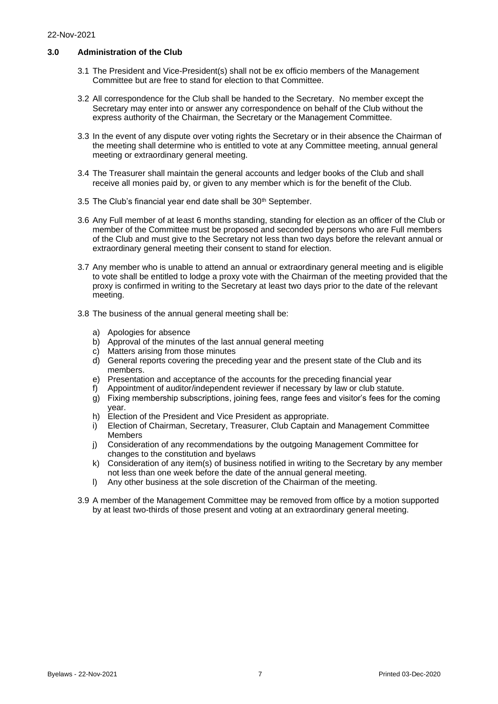#### <span id="page-7-0"></span>**3.0 Administration of the Club**

- 3.1 The President and Vice-President(s) shall not be ex officio members of the Management Committee but are free to stand for election to that Committee.
- 3.2 All correspondence for the Club shall be handed to the Secretary. No member except the Secretary may enter into or answer any correspondence on behalf of the Club without the express authority of the Chairman, the Secretary or the Management Committee.
- 3.3 In the event of any dispute over voting rights the Secretary or in their absence the Chairman of the meeting shall determine who is entitled to vote at any Committee meeting, annual general meeting or extraordinary general meeting.
- 3.4 The Treasurer shall maintain the general accounts and ledger books of the Club and shall receive all monies paid by, or given to any member which is for the benefit of the Club.
- 3.5 The Club's financial year end date shall be 30<sup>th</sup> September.
- 3.6 Any Full member of at least 6 months standing, standing for election as an officer of the Club or member of the Committee must be proposed and seconded by persons who are Full members of the Club and must give to the Secretary not less than two days before the relevant annual or extraordinary general meeting their consent to stand for election.
- 3.7 Any member who is unable to attend an annual or extraordinary general meeting and is eligible to vote shall be entitled to lodge a proxy vote with the Chairman of the meeting provided that the proxy is confirmed in writing to the Secretary at least two days prior to the date of the relevant meeting.
- 3.8 The business of the annual general meeting shall be:
	- a) Apologies for absence
	- b) Approval of the minutes of the last annual general meeting
	- c) Matters arising from those minutes
	- d) General reports covering the preceding year and the present state of the Club and its members.
	- e) Presentation and acceptance of the accounts for the preceding financial year
	- f) Appointment of auditor/independent reviewer if necessary by law or club statute.
	- g) Fixing membership subscriptions, joining fees, range fees and visitor's fees for the coming year.
	- h) Election of the President and Vice President as appropriate.
	- i) Election of Chairman, Secretary, Treasurer, Club Captain and Management Committee Members
	- j) Consideration of any recommendations by the outgoing Management Committee for changes to the constitution and byelaws
	- k) Consideration of any item(s) of business notified in writing to the Secretary by any member not less than one week before the date of the annual general meeting.
	- l) Any other business at the sole discretion of the Chairman of the meeting.
- 3.9 A member of the Management Committee may be removed from office by a motion supported by at least two-thirds of those present and voting at an extraordinary general meeting.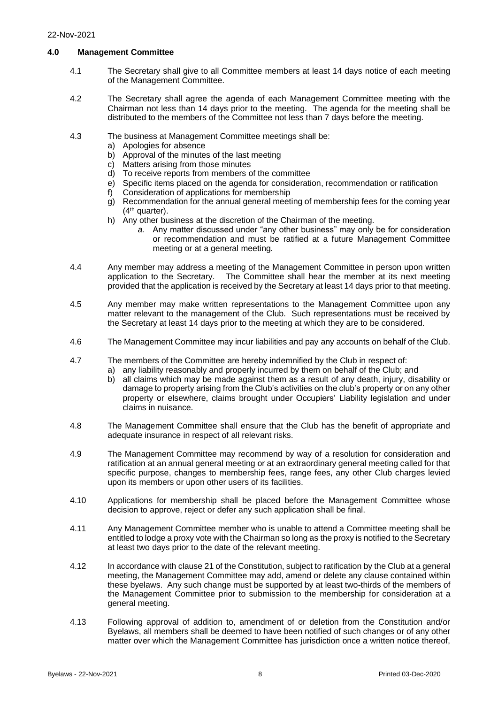#### <span id="page-8-0"></span>**4.0 Management Committee**

- 4.1 The Secretary shall give to all Committee members at least 14 days notice of each meeting of the Management Committee.
- 4.2 The Secretary shall agree the agenda of each Management Committee meeting with the Chairman not less than 14 days prior to the meeting. The agenda for the meeting shall be distributed to the members of the Committee not less than 7 days before the meeting.
- 4.3 The business at Management Committee meetings shall be:
	- a) Apologies for absence
	- b) Approval of the minutes of the last meeting
	- c) Matters arising from those minutes
	- d) To receive reports from members of the committee
	- e) Specific items placed on the agenda for consideration, recommendation or ratification
	- f) Consideration of applications for membership
	- g) Recommendation for the annual general meeting of membership fees for the coming year (4th quarter).
	- h) Any other business at the discretion of the Chairman of the meeting.
		- *a.* Any matter discussed under "any other business" may only be for consideration or recommendation and must be ratified at a future Management Committee meeting or at a general meeting*.*
- 4.4 Any member may address a meeting of the Management Committee in person upon written application to the Secretary. The Committee shall hear the member at its next meeting provided that the application is received by the Secretary at least 14 days prior to that meeting.
- 4.5 Any member may make written representations to the Management Committee upon any matter relevant to the management of the Club. Such representations must be received by the Secretary at least 14 days prior to the meeting at which they are to be considered.
- 4.6 The Management Committee may incur liabilities and pay any accounts on behalf of the Club.
- 4.7 The members of the Committee are hereby indemnified by the Club in respect of:
	- a) any liability reasonably and properly incurred by them on behalf of the Club; and
		- b) all claims which may be made against them as a result of any death, injury, disability or damage to property arising from the Club's activities on the club's property or on any other property or elsewhere, claims brought under Occupiers' Liability legislation and under claims in nuisance.
- 4.8 The Management Committee shall ensure that the Club has the benefit of appropriate and adequate insurance in respect of all relevant risks.
- 4.9 The Management Committee may recommend by way of a resolution for consideration and ratification at an annual general meeting or at an extraordinary general meeting called for that specific purpose, changes to membership fees, range fees, any other Club charges levied upon its members or upon other users of its facilities.
- 4.10 Applications for membership shall be placed before the Management Committee whose decision to approve, reject or defer any such application shall be final.
- 4.11 Any Management Committee member who is unable to attend a Committee meeting shall be entitled to lodge a proxy vote with the Chairman so long as the proxy is notified to the Secretary at least two days prior to the date of the relevant meeting.
- 4.12 In accordance with clause 21 of the Constitution, subject to ratification by the Club at a general meeting, the Management Committee may add, amend or delete any clause contained within these byelaws. Any such change must be supported by at least two-thirds of the members of the Management Committee prior to submission to the membership for consideration at a general meeting.
- 4.13 Following approval of addition to, amendment of or deletion from the Constitution and/or Byelaws, all members shall be deemed to have been notified of such changes or of any other matter over which the Management Committee has jurisdiction once a written notice thereof,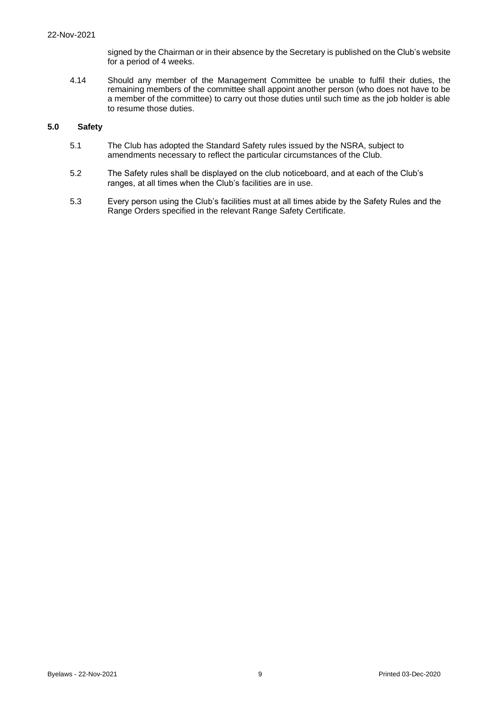signed by the Chairman or in their absence by the Secretary is published on the Club's website for a period of 4 weeks.

4.14 Should any member of the Management Committee be unable to fulfil their duties, the remaining members of the committee shall appoint another person (who does not have to be a member of the committee) to carry out those duties until such time as the job holder is able to resume those duties.

#### <span id="page-9-0"></span>**5.0 Safety**

- 5.1 The Club has adopted the Standard Safety rules issued by the NSRA, subject to amendments necessary to reflect the particular circumstances of the Club.
- 5.2 The Safety rules shall be displayed on the club noticeboard, and at each of the Club's ranges, at all times when the Club's facilities are in use.
- 5.3 Every person using the Club's facilities must at all times abide by the Safety Rules and the Range Orders specified in the relevant Range Safety Certificate.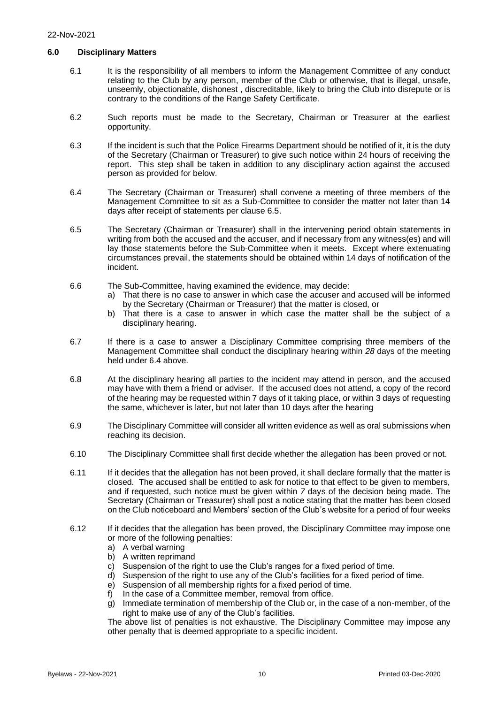#### <span id="page-10-0"></span>**6.0 Disciplinary Matters**

- 6.1 It is the responsibility of all members to inform the Management Committee of any conduct relating to the Club by any person, member of the Club or otherwise, that is illegal, unsafe, unseemly, objectionable, dishonest , discreditable, likely to bring the Club into disrepute or is contrary to the conditions of the Range Safety Certificate.
- 6.2 Such reports must be made to the Secretary, Chairman or Treasurer at the earliest opportunity.
- 6.3 If the incident is such that the Police Firearms Department should be notified of it, it is the duty of the Secretary (Chairman or Treasurer) to give such notice within 24 hours of receiving the report. This step shall be taken in addition to any disciplinary action against the accused person as provided for below.
- 6.4 The Secretary (Chairman or Treasurer) shall convene a meeting of three members of the Management Committee to sit as a Sub-Committee to consider the matter not later than 14 days after receipt of statements per clause 6.5.
- 6.5 The Secretary (Chairman or Treasurer) shall in the intervening period obtain statements in writing from both the accused and the accuser, and if necessary from any witness(es) and will lay those statements before the Sub-Committee when it meets. Except where extenuating circumstances prevail, the statements should be obtained within 14 days of notification of the incident.
- 6.6 The Sub-Committee, having examined the evidence, may decide:
	- a) That there is no case to answer in which case the accuser and accused will be informed by the Secretary (Chairman or Treasurer) that the matter is closed, or
	- b) That there is a case to answer in which case the matter shall be the subject of a disciplinary hearing.
- 6.7 If there is a case to answer a Disciplinary Committee comprising three members of the Management Committee shall conduct the disciplinary hearing within *28* days of the meeting held under 6.4 above.
- 6.8 At the disciplinary hearing all parties to the incident may attend in person, and the accused may have with them a friend or adviser. If the accused does not attend, a copy of the record of the hearing may be requested within 7 days of it taking place, or within 3 days of requesting the same, whichever is later, but not later than 10 days after the hearing
- 6.9 The Disciplinary Committee will consider all written evidence as well as oral submissions when reaching its decision.
- 6.10 The Disciplinary Committee shall first decide whether the allegation has been proved or not.
- 6.11 If it decides that the allegation has not been proved, it shall declare formally that the matter is closed. The accused shall be entitled to ask for notice to that effect to be given to members, and if requested, such notice must be given within *7* days of the decision being made. The Secretary (Chairman or Treasurer) shall post a notice stating that the matter has been closed on the Club noticeboard and Members' section of the Club's website for a period of four weeks
- 6.12 If it decides that the allegation has been proved, the Disciplinary Committee may impose one or more of the following penalties:
	- a) A verbal warning
	- b) A written reprimand
	- c) Suspension of the right to use the Club's ranges for a fixed period of time.
	- d) Suspension of the right to use any of the Club's facilities for a fixed period of time.
	- e) Suspension of all membership rights for a fixed period of time.
	- f) In the case of a Committee member, removal from office.
	- g) Immediate termination of membership of the Club or, in the case of a non-member, of the right to make use of any of the Club's facilities.

The above list of penalties is not exhaustive. The Disciplinary Committee may impose any other penalty that is deemed appropriate to a specific incident.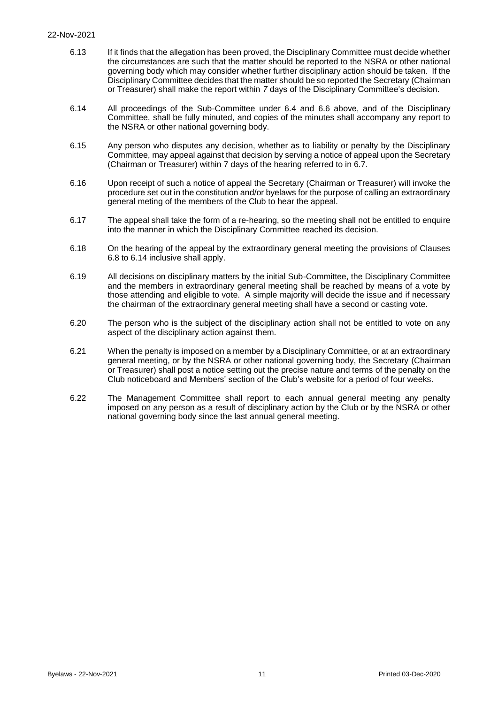#### 22-Nov-2021

- 6.13 If it finds that the allegation has been proved, the Disciplinary Committee must decide whether the circumstances are such that the matter should be reported to the NSRA or other national governing body which may consider whether further disciplinary action should be taken. If the Disciplinary Committee decides that the matter should be so reported the Secretary (Chairman or Treasurer) shall make the report within *7* days of the Disciplinary Committee's decision.
- 6.14 All proceedings of the Sub-Committee under 6.4 and 6.6 above, and of the Disciplinary Committee, shall be fully minuted, and copies of the minutes shall accompany any report to the NSRA or other national governing body.
- 6.15 Any person who disputes any decision, whether as to liability or penalty by the Disciplinary Committee, may appeal against that decision by serving a notice of appeal upon the Secretary (Chairman or Treasurer) within 7 days of the hearing referred to in 6.7.
- 6.16 Upon receipt of such a notice of appeal the Secretary (Chairman or Treasurer) will invoke the procedure set out in the constitution and/or byelaws for the purpose of calling an extraordinary general meting of the members of the Club to hear the appeal.
- 6.17 The appeal shall take the form of a re-hearing, so the meeting shall not be entitled to enquire into the manner in which the Disciplinary Committee reached its decision.
- 6.18 On the hearing of the appeal by the extraordinary general meeting the provisions of Clauses 6.8 to 6.14 inclusive shall apply.
- 6.19 All decisions on disciplinary matters by the initial Sub-Committee, the Disciplinary Committee and the members in extraordinary general meeting shall be reached by means of a vote by those attending and eligible to vote. A simple majority will decide the issue and if necessary the chairman of the extraordinary general meeting shall have a second or casting vote.
- 6.20 The person who is the subject of the disciplinary action shall not be entitled to vote on any aspect of the disciplinary action against them.
- 6.21 When the penalty is imposed on a member by a Disciplinary Committee, or at an extraordinary general meeting, or by the NSRA or other national governing body, the Secretary (Chairman or Treasurer) shall post a notice setting out the precise nature and terms of the penalty on the Club noticeboard and Members' section of the Club's website for a period of four weeks.
- 6.22 The Management Committee shall report to each annual general meeting any penalty imposed on any person as a result of disciplinary action by the Club or by the NSRA or other national governing body since the last annual general meeting.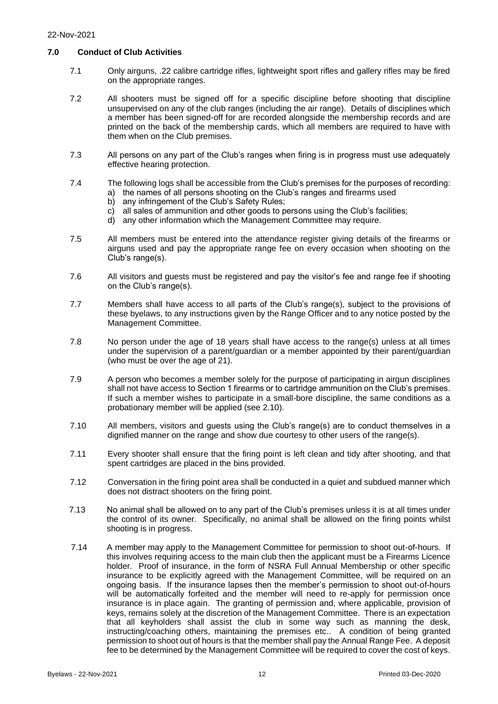#### <span id="page-12-0"></span>**7.0 Conduct of Club Activities**

- 7.1 Only airguns, .22 calibre cartridge rifles, lightweight sport rifles and gallery rifles may be fired on the appropriate ranges.
- 7.2 All shooters must be signed off for a specific discipline before shooting that discipline unsupervised on any of the club ranges (including the air range). Details of disciplines which a member has been signed-off for are recorded alongside the membership records and are printed on the back of the membership cards, which all members are required to have with them when on the Club premises.
- 7.3 All persons on any part of the Club's ranges when firing is in progress must use adequately effective hearing protection.
- 7.4 The following logs shall be accessible from the Club's premises for the purposes of recording:
	- a) the names of all persons shooting on the Club's ranges and firearms used
		- b) any infringement of the Club's Safety Rules;
		- c) all sales of ammunition and other goods to persons using the Club's facilities;
		- d) any other information which the Management Committee may require.
- 7.5 All members must be entered into the attendance register giving details of the firearms or airguns used and pay the appropriate range fee on every occasion when shooting on the Club's range(s).
- 7.6 All visitors and guests must be registered and pay the visitor's fee and range fee if shooting on the Club's range(s).
- 7.7 Members shall have access to all parts of the Club's range(s), subject to the provisions of these byelaws, to any instructions given by the Range Officer and to any notice posted by the Management Committee.
- 7.8 No person under the age of 18 years shall have access to the range(s) unless at all times under the supervision of a parent/guardian or a member appointed by their parent/guardian (who must be over the age of 21).
- 7.9 A person who becomes a member solely for the purpose of participating in airgun disciplines shall not have access to Section 1 firearms or to cartridge ammunition on the Club's premises. If such a member wishes to participate in a small-bore discipline, the same conditions as a probationary member will be applied (see 2.10).
- 7.10 All members, visitors and guests using the Club's range(s) are to conduct themselves in a dignified manner on the range and show due courtesy to other users of the range(s).
- 7.11 Every shooter shall ensure that the firing point is left clean and tidy after shooting, and that spent cartridges are placed in the bins provided.
- 7.12 Conversation in the firing point area shall be conducted in a quiet and subdued manner which does not distract shooters on the firing point.
- 7.13 No animal shall be allowed on to any part of the Club's premises unless it is at all times under the control of its owner. Specifically, no animal shall be allowed on the firing points whilst shooting is in progress.
- 7.14 A member may apply to the Management Committee for permission to shoot out-of-hours. If this involves requiring access to the main club then the applicant must be a Firearms Licence holder. Proof of insurance, in the form of NSRA Full Annual Membership or other specific insurance to be explicitly agreed with the Management Committee, will be required on an ongoing basis. If the insurance lapses then the member's permission to shoot out-of-hours will be automatically forfeited and the member will need to re-apply for permission once insurance is in place again. The granting of permission and, where applicable, provision of keys, remains solely at the discretion of the Management Committee. There is an expectation that all keyholders shall assist the club in some way such as manning the desk, instructing/coaching others, maintaining the premises etc.. A condition of being granted permission to shoot out of hours is that the member shall pay the Annual Range Fee. A deposit fee to be determined by the Management Committee will be required to cover the cost of keys.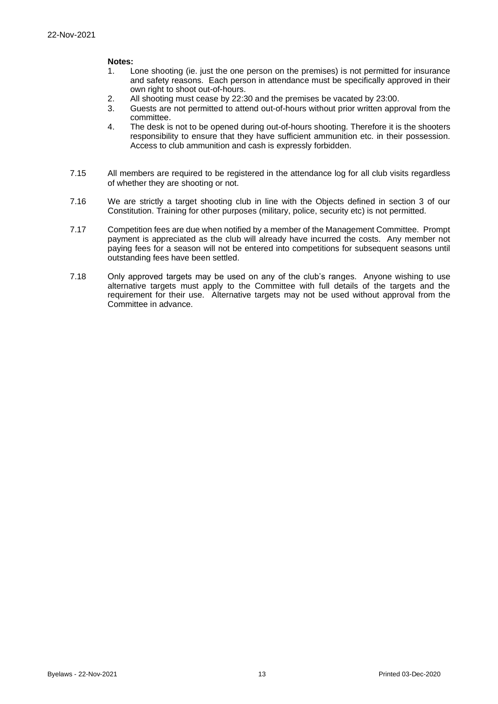#### **Notes:**

- 1. Lone shooting (ie. just the one person on the premises) is not permitted for insurance and safety reasons. Each person in attendance must be specifically approved in their own right to shoot out-of-hours.
- 2. All shooting must cease by 22:30 and the premises be vacated by 23:00.
- 3. Guests are not permitted to attend out-of-hours without prior written approval from the committee.
- 4. The desk is not to be opened during out-of-hours shooting. Therefore it is the shooters responsibility to ensure that they have sufficient ammunition etc. in their possession. Access to club ammunition and cash is expressly forbidden.
- 7.15 All members are required to be registered in the attendance log for all club visits regardless of whether they are shooting or not.
- 7.16 We are strictly a target shooting club in line with the Objects defined in section 3 of our Constitution. Training for other purposes (military, police, security etc) is not permitted.
- 7.17 Competition fees are due when notified by a member of the Management Committee. Prompt payment is appreciated as the club will already have incurred the costs. Any member not paying fees for a season will not be entered into competitions for subsequent seasons until outstanding fees have been settled.
- 7.18 Only approved targets may be used on any of the club's ranges. Anyone wishing to use alternative targets must apply to the Committee with full details of the targets and the requirement for their use. Alternative targets may not be used without approval from the Committee in advance.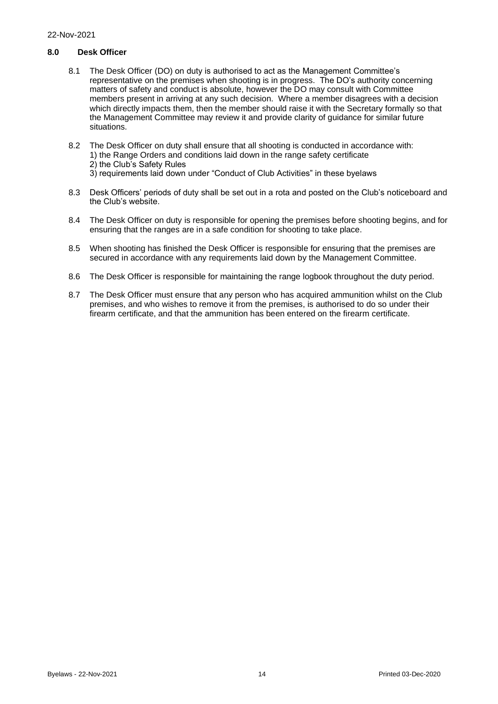#### <span id="page-14-0"></span>**8.0 Desk Officer**

- 8.1 The Desk Officer (DO) on duty is authorised to act as the Management Committee's representative on the premises when shooting is in progress. The DO's authority concerning matters of safety and conduct is absolute, however the DO may consult with Committee members present in arriving at any such decision. Where a member disagrees with a decision which directly impacts them, then the member should raise it with the Secretary formally so that the Management Committee may review it and provide clarity of guidance for similar future situations.
- 8.2 The Desk Officer on duty shall ensure that all shooting is conducted in accordance with: 1) the Range Orders and conditions laid down in the range safety certificate 2) the Club's Safety Rules 3) requirements laid down under "Conduct of Club Activities" in these byelaws
- 8.3 Desk Officers' periods of duty shall be set out in a rota and posted on the Club's noticeboard and the Club's website.
- 8.4 The Desk Officer on duty is responsible for opening the premises before shooting begins, and for ensuring that the ranges are in a safe condition for shooting to take place.
- 8.5 When shooting has finished the Desk Officer is responsible for ensuring that the premises are secured in accordance with any requirements laid down by the Management Committee.
- 8.6 The Desk Officer is responsible for maintaining the range logbook throughout the duty period.
- 8.7 The Desk Officer must ensure that any person who has acquired ammunition whilst on the Club premises, and who wishes to remove it from the premises, is authorised to do so under their firearm certificate, and that the ammunition has been entered on the firearm certificate.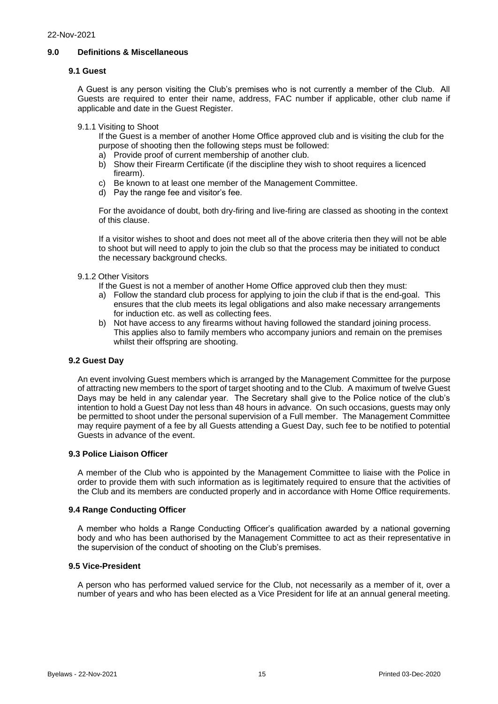#### <span id="page-15-0"></span>**9.0 Definitions & Miscellaneous**

#### **9.1 Guest**

A Guest is any person visiting the Club's premises who is not currently a member of the Club. All Guests are required to enter their name, address, FAC number if applicable, other club name if applicable and date in the Guest Register.

9.1.1 Visiting to Shoot

If the Guest is a member of another Home Office approved club and is visiting the club for the purpose of shooting then the following steps must be followed:

- a) Provide proof of current membership of another club.
- b) Show their Firearm Certificate (if the discipline they wish to shoot requires a licenced firearm).
- c) Be known to at least one member of the Management Committee.
- d) Pay the range fee and visitor's fee.

For the avoidance of doubt, both dry-firing and live-firing are classed as shooting in the context of this clause.

If a visitor wishes to shoot and does not meet all of the above criteria then they will not be able to shoot but will need to apply to join the club so that the process may be initiated to conduct the necessary background checks.

#### 9.1.2 Other Visitors

If the Guest is not a member of another Home Office approved club then they must:

- a) Follow the standard club process for applying to join the club if that is the end-goal. This ensures that the club meets its legal obligations and also make necessary arrangements for induction etc. as well as collecting fees.
- b) Not have access to any firearms without having followed the standard joining process. This applies also to family members who accompany juniors and remain on the premises whilst their offspring are shooting.

#### **9.2 Guest Day**

An event involving Guest members which is arranged by the Management Committee for the purpose of attracting new members to the sport of target shooting and to the Club. A maximum of twelve Guest Days may be held in any calendar year. The Secretary shall give to the Police notice of the club's intention to hold a Guest Day not less than 48 hours in advance. On such occasions, guests may only be permitted to shoot under the personal supervision of a Full member. The Management Committee may require payment of a fee by all Guests attending a Guest Day, such fee to be notified to potential Guests in advance of the event.

#### **9.3 Police Liaison Officer**

A member of the Club who is appointed by the Management Committee to liaise with the Police in order to provide them with such information as is legitimately required to ensure that the activities of the Club and its members are conducted properly and in accordance with Home Office requirements.

#### **9.4 Range Conducting Officer**

A member who holds a Range Conducting Officer's qualification awarded by a national governing body and who has been authorised by the Management Committee to act as their representative in the supervision of the conduct of shooting on the Club's premises.

#### **9.5 Vice-President**

A person who has performed valued service for the Club, not necessarily as a member of it, over a number of years and who has been elected as a Vice President for life at an annual general meeting.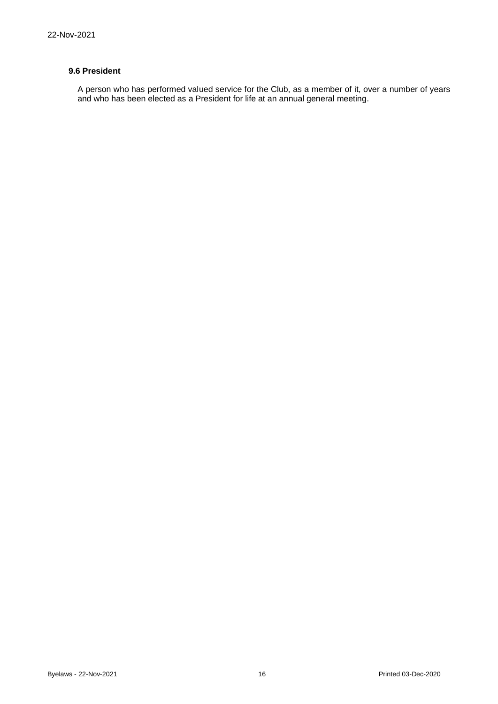## **9.6 President**

A person who has performed valued service for the Club, as a member of it, over a number of years and who has been elected as a President for life at an annual general meeting.